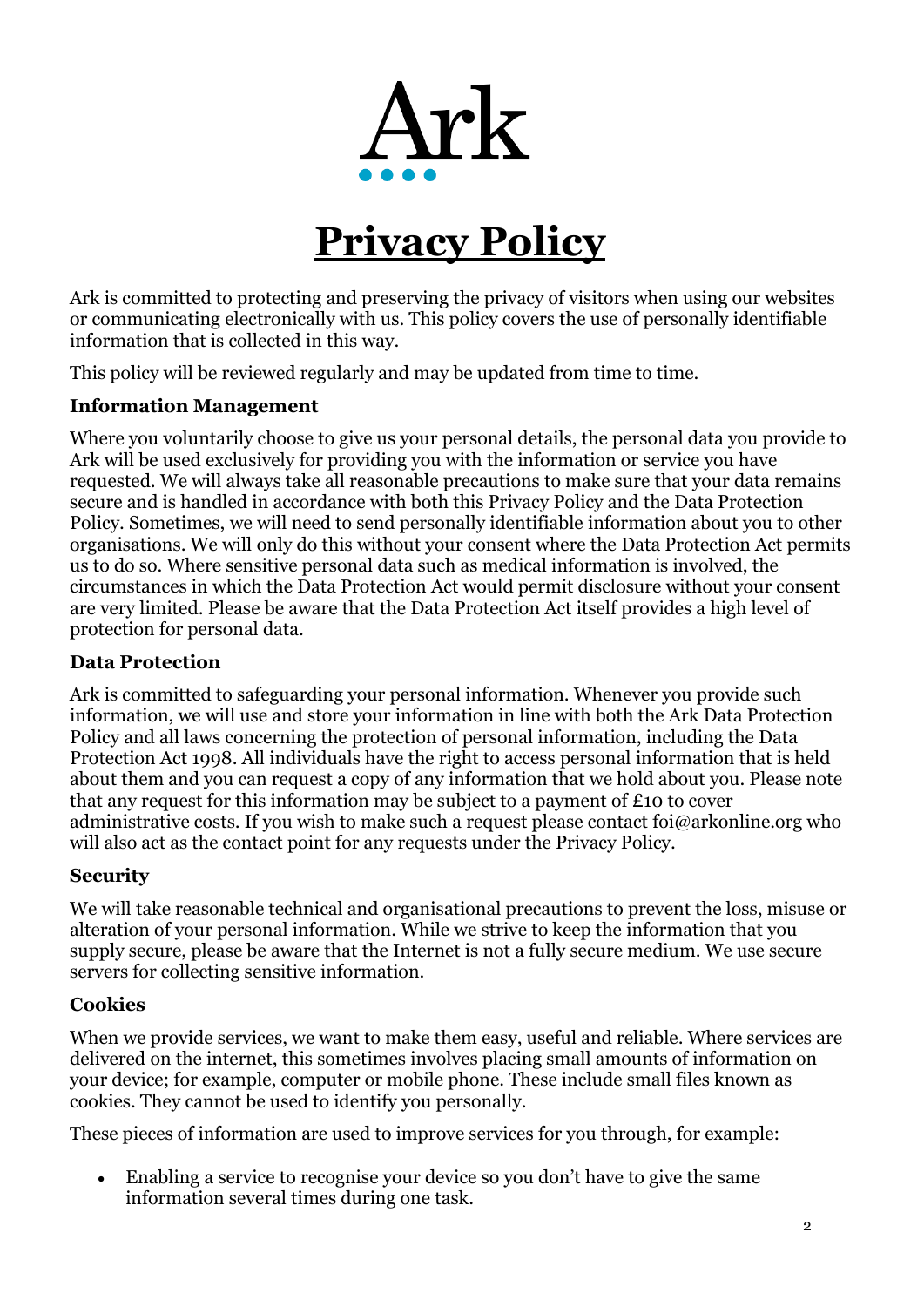

# **Privacy Policy**

Ark is committed to protecting and preserving the privacy of visitors when using our websites or communicating electronically with us. This policy covers the use of personally identifiable information that is collected in this way.

This policy will be reviewed regularly and may be updated from time to time.

#### **Information Management**

Where you voluntarily choose to give us your personal details, the personal data you provide to Ark will be used exclusively for providing you with the information or service you have requested. We will always take all reasonable precautions to make sure that your data remains secure and is handled in accordance with both this Privacy Policy and the [Data Protection](https://arkboulton.org/page-strips/our-policies-24)  [Policy.](https://arkboulton.org/page-strips/our-policies-24) Sometimes, we will need to send personally identifiable information about you to other organisations. We will only do this without your consent where the Data Protection Act permits us to do so. Where sensitive personal data such as medical information is involved, the circumstances in which the Data Protection Act would permit disclosure without your consent are very limited. Please be aware that the Data Protection Act itself provides a high level of protection for personal data.

### **Data Protection**

Ark is committed to safeguarding your personal information. Whenever you provide such information, we will use and store your information in line with both the Ark Data Protection Policy and all laws concerning the protection of personal information, including the Data Protection Act 1998. All individuals have the right to access personal information that is held about them and you can request a copy of any information that we hold about you. Please note that any request for this information may be subject to a payment of £10 to cover administrative costs. If you wish to make such a request please contact [foi@arkonline.org](mailto:foi@arkonline.org) who will also act as the contact point for any requests under the Privacy Policy.

#### **Security**

We will take reasonable technical and organisational precautions to prevent the loss, misuse or alteration of your personal information. While we strive to keep the information that you supply secure, please be aware that the Internet is not a fully secure medium. We use secure servers for collecting sensitive information.

#### **Cookies**

When we provide services, we want to make them easy, useful and reliable. Where services are delivered on the internet, this sometimes involves placing small amounts of information on your device; for example, computer or mobile phone. These include small files known as cookies. They cannot be used to identify you personally.

These pieces of information are used to improve services for you through, for example:

• Enabling a service to recognise your device so you don't have to give the same information several times during one task.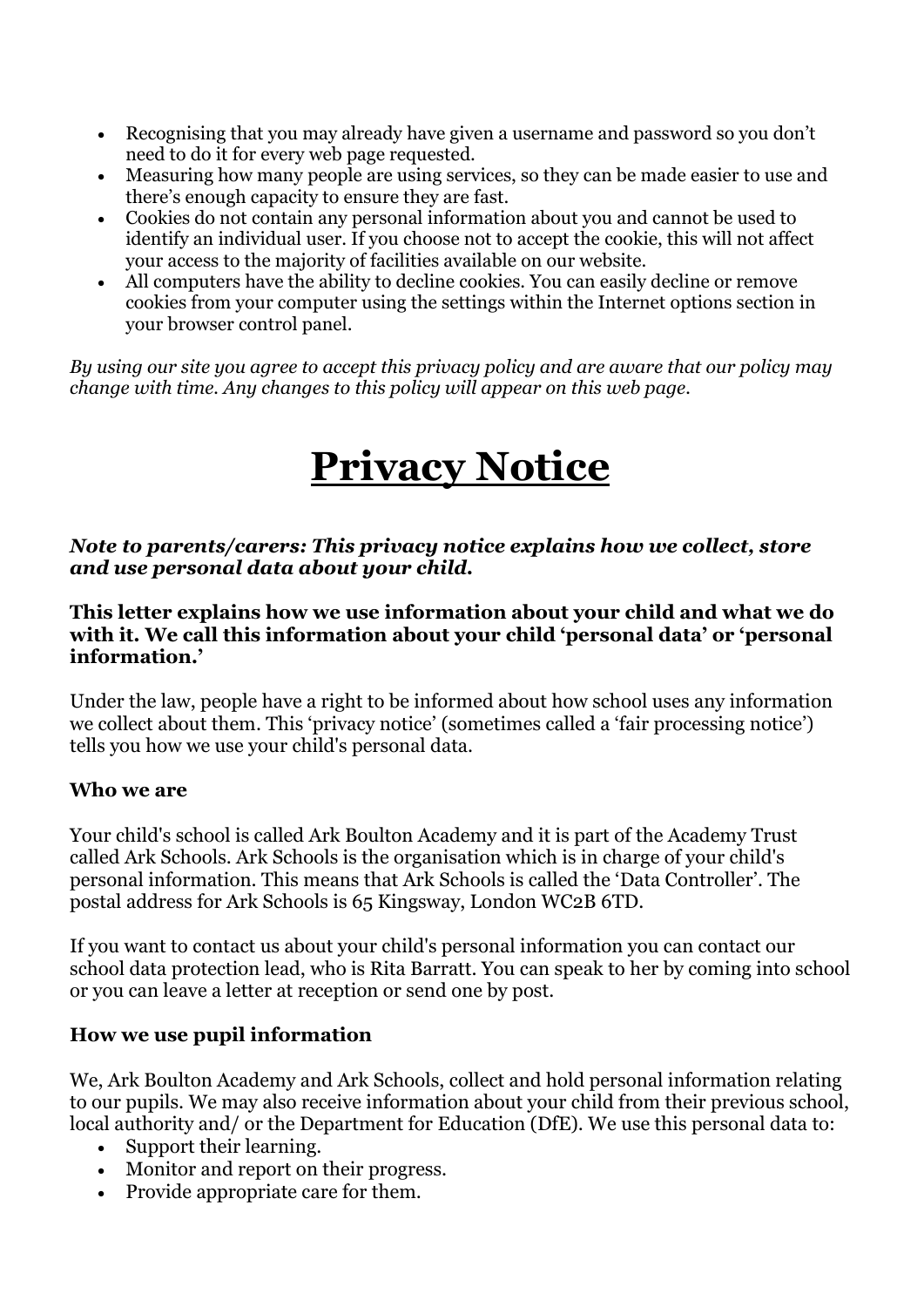- Recognising that you may already have given a username and password so you don't need to do it for every web page requested.
- Measuring how many people are using services, so they can be made easier to use and there's enough capacity to ensure they are fast.
- Cookies do not contain any personal information about you and cannot be used to identify an individual user. If you choose not to accept the cookie, this will not affect your access to the majority of facilities available on our website.
- All computers have the ability to decline cookies. You can easily decline or remove cookies from your computer using the settings within the Internet options section in your browser control panel.

*By using our site you agree to accept this privacy policy and are aware that our policy may change with time. Any changes to this policy will appear on this web page.*

# **Privacy Notice**

#### *Note to parents/carers: This privacy notice explains how we collect, store and use personal data about your child.*

#### **This letter explains how we use information about your child and what we do with it. We call this information about your child 'personal data' or 'personal information.'**

Under the law, people have a right to be informed about how school uses any information we collect about them. This 'privacy notice' (sometimes called a 'fair processing notice') tells you how we use your child's personal data.

## **Who we are**

Your child's school is called Ark Boulton Academy and it is part of the Academy Trust called Ark Schools. Ark Schools is the organisation which is in charge of your child's personal information. This means that Ark Schools is called the 'Data Controller'. The postal address for Ark Schools is 65 Kingsway, London WC2B 6TD.

If you want to contact us about your child's personal information you can contact our school data protection lead, who is Rita Barratt. You can speak to her by coming into school or you can leave a letter at reception or send one by post.

## **How we use pupil information**

We, Ark Boulton Academy and Ark Schools, collect and hold personal information relating to our pupils. We may also receive information about your child from their previous school, local authority and/ or the Department for Education (DfE). We use this personal data to:

- Support their learning.
- Monitor and report on their progress.
- Provide appropriate care for them.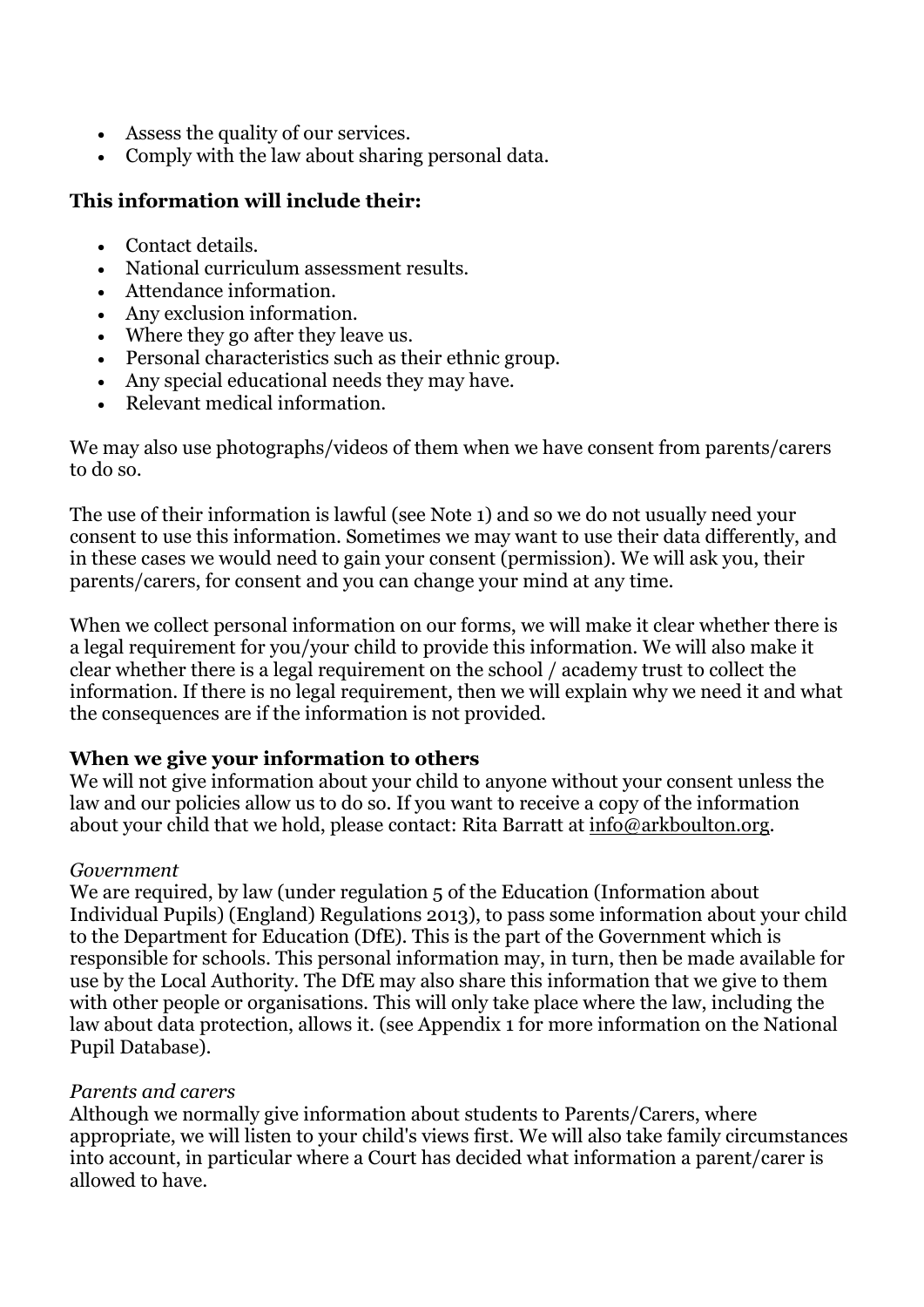- Assess the quality of our services.
- Comply with the law about sharing personal data.

## **This information will include their:**

- Contact details.
- National curriculum assessment results.
- Attendance information.
- Any exclusion information.
- Where they go after they leave us.
- Personal characteristics such as their ethnic group.
- Any special educational needs they may have.
- Relevant medical information.

We may also use photographs/videos of them when we have consent from parents/carers to do so.

The use of their information is lawful (see Note 1) and so we do not usually need your consent to use this information. Sometimes we may want to use their data differently, and in these cases we would need to gain your consent (permission). We will ask you, their parents/carers, for consent and you can change your mind at any time.

When we collect personal information on our forms, we will make it clear whether there is a legal requirement for you/your child to provide this information. We will also make it clear whether there is a legal requirement on the school / academy trust to collect the information. If there is no legal requirement, then we will explain why we need it and what the consequences are if the information is not provided.

#### **When we give your information to others**

We will not give information about your child to anyone without your consent unless the law and our policies allow us to do so. If you want to receive a copy of the information about your child that we hold, please contact: Rita Barratt at [info@arkboulton.org.](mailto:info@arkboulton.org)

#### *Government*

We are required, by law (under regulation 5 of the Education (Information about Individual Pupils) (England) Regulations 2013), to pass some information about your child to the Department for Education (DfE). This is the part of the Government which is responsible for schools. This personal information may, in turn, then be made available for use by the Local Authority. The DfE may also share this information that we give to them with other people or organisations. This will only take place where the law, including the law about data protection, allows it. (see Appendix 1 for more information on the National Pupil Database).

#### *Parents and carers*

Although we normally give information about students to Parents/Carers, where appropriate, we will listen to your child's views first. We will also take family circumstances into account, in particular where a Court has decided what information a parent/carer is allowed to have.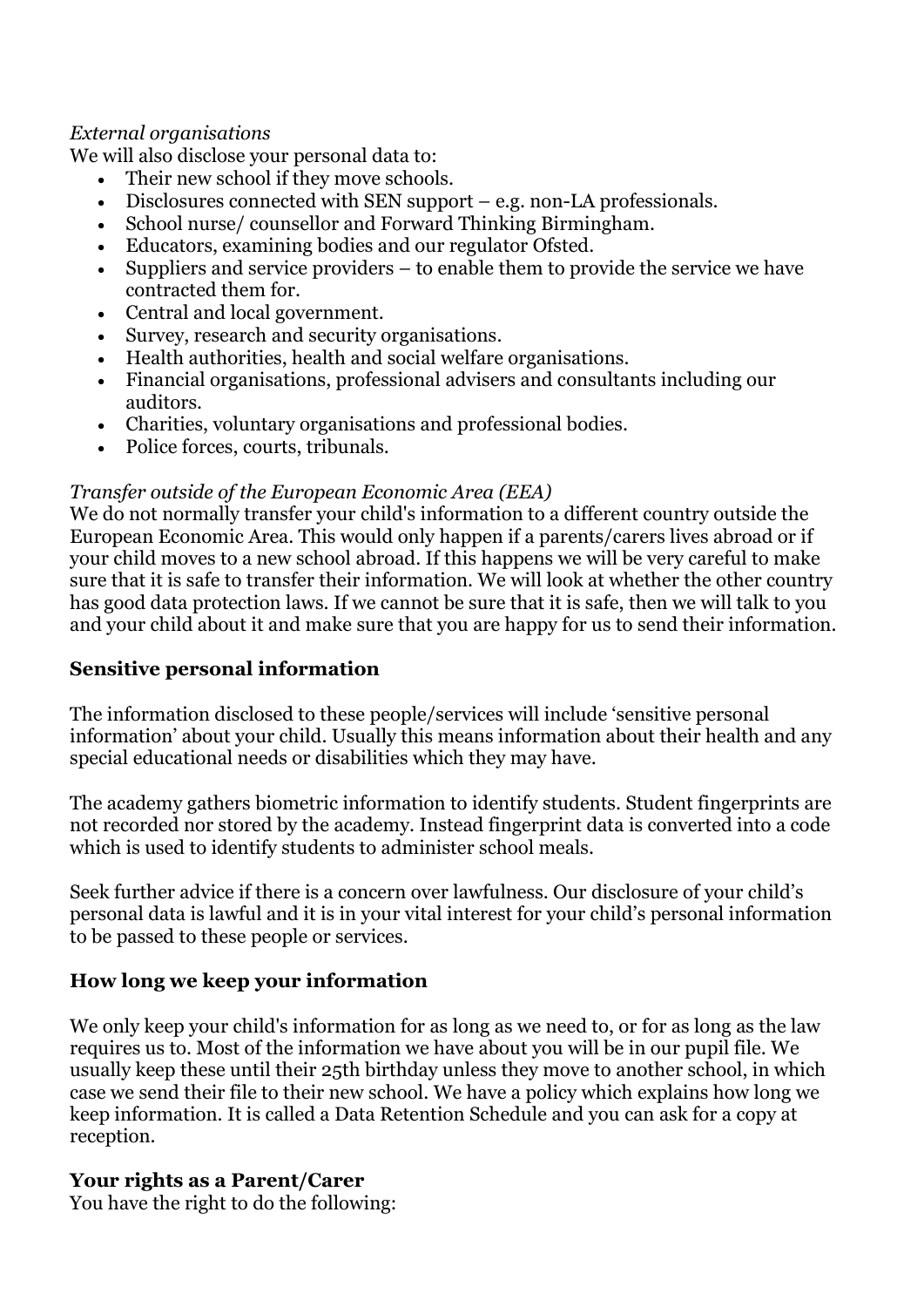## *External organisations*

We will also disclose your personal data to:

- Their new school if they move schools.
- Disclosures connected with SEN support e.g. non-LA professionals.
- School nurse/ counsellor and Forward Thinking Birmingham.
- Educators, examining bodies and our regulator Ofsted.
- Suppliers and service providers to enable them to provide the service we have contracted them for.
- Central and local government.
- Survey, research and security organisations.
- Health authorities, health and social welfare organisations.
- Financial organisations, professional advisers and consultants including our auditors.
- Charities, voluntary organisations and professional bodies.
- Police forces, courts, tribunals.

## *Transfer outside of the European Economic Area (EEA)*

We do not normally transfer your child's information to a different country outside the European Economic Area. This would only happen if a parents/carers lives abroad or if your child moves to a new school abroad. If this happens we will be very careful to make sure that it is safe to transfer their information. We will look at whether the other country has good data protection laws. If we cannot be sure that it is safe, then we will talk to you and your child about it and make sure that you are happy for us to send their information.

# **Sensitive personal information**

The information disclosed to these people/services will include 'sensitive personal information' about your child. Usually this means information about their health and any special educational needs or disabilities which they may have.

The academy gathers biometric information to identify students. Student fingerprints are not recorded nor stored by the academy. Instead fingerprint data is converted into a code which is used to identify students to administer school meals.

Seek further advice if there is a concern over lawfulness. Our disclosure of your child's personal data is lawful and it is in your vital interest for your child's personal information to be passed to these people or services.

# **How long we keep your information**

We only keep your child's information for as long as we need to, or for as long as the law requires us to. Most of the information we have about you will be in our pupil file. We usually keep these until their 25th birthday unless they move to another school, in which case we send their file to their new school. We have a policy which explains how long we keep information. It is called a Data Retention Schedule and you can ask for a copy at reception.

# **Your rights as a Parent/Carer**

You have the right to do the following: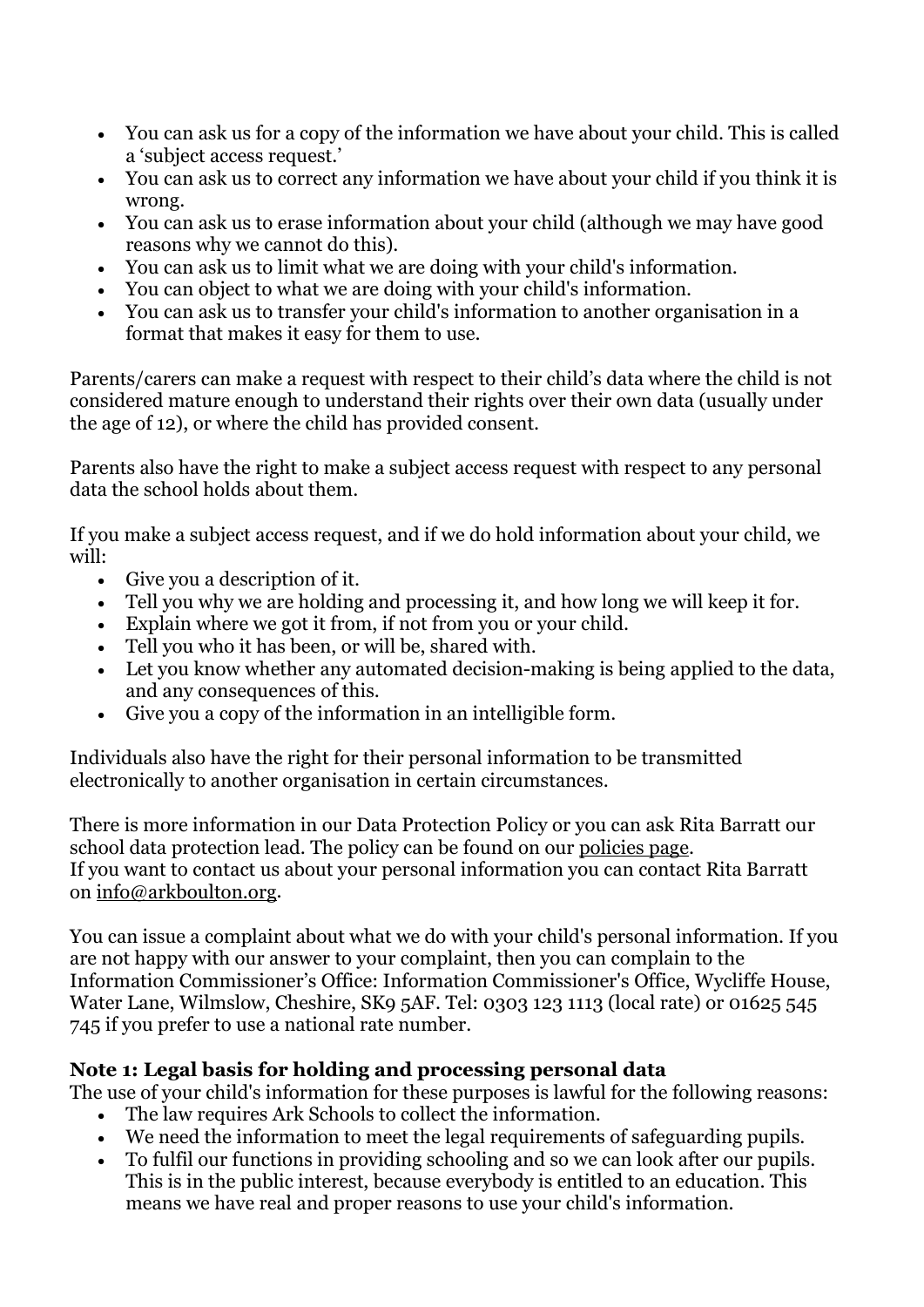- You can ask us for a copy of the information we have about your child. This is called a 'subject access request.'
- You can ask us to correct any information we have about your child if you think it is wrong.
- You can ask us to erase information about your child (although we may have good reasons why we cannot do this).
- You can ask us to limit what we are doing with your child's information.
- You can object to what we are doing with your child's information.
- You can ask us to transfer your child's information to another organisation in a format that makes it easy for them to use.

Parents/carers can make a request with respect to their child's data where the child is not considered mature enough to understand their rights over their own data (usually under the age of 12), or where the child has provided consent.

Parents also have the right to make a subject access request with respect to any personal data the school holds about them.

If you make a subject access request, and if we do hold information about your child, we will:

- Give you a description of it.
- Tell you why we are holding and processing it, and how long we will keep it for.
- Explain where we got it from, if not from you or your child.
- Tell you who it has been, or will be, shared with.
- Let you know whether any automated decision-making is being applied to the data, and any consequences of this.
- Give you a copy of the information in an intelligible form.

Individuals also have the right for their personal information to be transmitted electronically to another organisation in certain circumstances.

There is more information in our Data Protection Policy or you can ask Rita Barratt our school data protection lead. The policy can be found on our [policies page.](https://arkboulton.org/page-strips/our-policies-24) If you want to contact us about your personal information you can contact Rita Barratt on [info@arkboulton.org.](mailto:info@arkboulton.org)

You can issue a complaint about what we do with your child's personal information. If you are not happy with our answer to your complaint, then you can complain to the Information Commissioner's Office: Information Commissioner's Office, Wycliffe House, Water Lane, Wilmslow, Cheshire, SK9 5AF. Tel: 0303 123 1113 (local rate) or 01625 545 745 if you prefer to use a national rate number.

# **Note 1: Legal basis for holding and processing personal data**

The use of your child's information for these purposes is lawful for the following reasons:

- The law requires Ark Schools to collect the information.
- We need the information to meet the legal requirements of safeguarding pupils.
- To fulfil our functions in providing schooling and so we can look after our pupils. This is in the public interest, because everybody is entitled to an education. This means we have real and proper reasons to use your child's information.